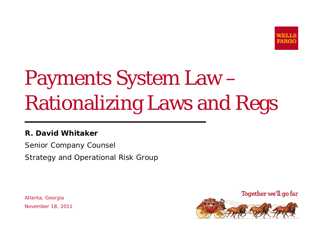

# Payments System Law Rationalizing Laws and Regs

### **R. David Whitaker**

Senior Company Counsel Strategy and Operational Risk Group

Atlanta, Georgia November 18, 2011

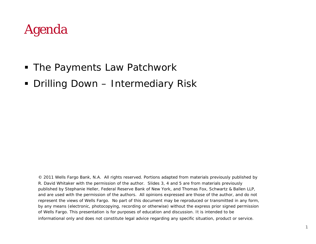# Agenda

- The Payments Law Patchwork
- Drilling Down Intermediary Risk

© 2011 Wells Fargo Bank, N.A. All rights reserved. Portions adapted from materials previously published by R. David Whitaker with the permission of the author. Slides 3, 4 and 5 are from materials previously published by Stephanie Heller, Federal Reserve Bank of New York, and Thomas Fox, Schwartz & Ballen LLP, and are used with the permission of the authors. All opinions expressed are those of the author, and do not represent the views of Wells Fargo. No part of this document may be reproduced or transmitted in any form, by any means (electronic, photocopying, recording or otherwise) without the express prior signed permission of Wells Fargo. This presentation is for purposes of education and discussion. It is intended to be informational only and does not constitute legal advice regarding any specific situation, product or service.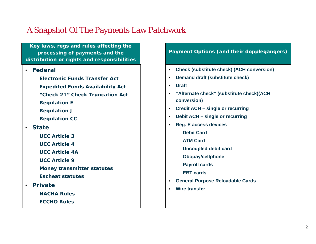### A Snapshot Of The Payments Law Patchwork

**Key laws, regs and rules affecting the processing of payments and the distribution or rights and responsibilities**

#### **Federal**

**Electronic Funds Transfer ActExpedited Funds Availability Act**

- **"Check 21" Check Truncation Act**
- **Regulation E**
- **Regulation J**
- **Regulation CC**

### **State**

- **UCC Article 3**
- **UCC Article 4**
- **UCC Article 4A**
- **UCC Article 9**
- **Money transmitter statutes**
- **Escheat statutes**
- **Private**
	- **NACHA Rules**
	- **ECCHO Rules**

### **Payment Options (and their dopplegangers)**

- **Check (substitute check) (ACH conversion)**
- **h hr c d ih c c ih c ih c ih c ih c ih c ih c ih c ih c ih c ih c ih c ih c ih c ih c ih c ih c ih c**  $\blacklozenge$ 
	- $\bullet$ **Draft**
	- ٠ **"Alternate check" (substitute check)(ACH conversion)**
	- $\bullet$ **Credit ACH – single or recurring**
	- $\bullet$ **Debit ACH – single or recurring**
	- $\bullet$  **Reg. E access devices**
		- **Debit Card**
		- **ATM Card**
		- **Uncoupled debit card**
		- **Obopay/cellphone**
		- **Payroll cards**
		- **EBT cards**
	- $\bullet$ **General Purpose Reloadable Cards**
	- $\bullet$ **Wire transfer**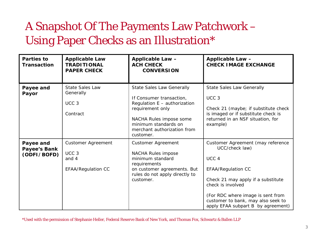# A Snapshot Of The Payments Law Patchwork – Using Paper Checks as an Illustration\*

| Parties to<br><b>Transaction</b>                | <b>Applicable Law</b><br><b>TRADITIONAL</b><br><b>PAPER CHECK</b>                   | Applicable Law -<br><b>ACH CHECK</b><br><b>CONVERSION</b>                                                                                                                                                       | Applicable Law -<br><b>CHECK IMAGE EXCHANGE</b>                                                                                                                                                                                                                                  |
|-------------------------------------------------|-------------------------------------------------------------------------------------|-----------------------------------------------------------------------------------------------------------------------------------------------------------------------------------------------------------------|----------------------------------------------------------------------------------------------------------------------------------------------------------------------------------------------------------------------------------------------------------------------------------|
| Payee and<br>Payor                              | <b>State Sales Law</b><br>Generally<br>UCC <sub>3</sub><br>Contract                 | <b>State Sales Law Generally</b><br>If Consumer transaction,<br>Regulation E - authorization<br>requirement only<br>NACHA Rules impose some<br>minimum standards on<br>merchant authorization from<br>customer. | <b>State Sales Law Generally</b><br>UCC <sub>3</sub><br>Check 21 (maybe; if substitute check<br>is imaged or if substitute check is<br>returned in an NSF situation, for<br>example)                                                                                             |
| Payee and<br><b>Payee's Bank</b><br>(ODFI/BOFD) | <b>Customer Agreement</b><br>UCC <sub>3</sub><br>and 4<br><b>EFAA/Regulation CC</b> | <b>Customer Agreement</b><br>NACHA Rules impose<br>minimum standard<br>requirements<br>on customer agreements. But<br>rules do not apply directly to<br>customer.                                               | Customer Agreement (may reference<br>UCC/check law)<br>UCC <sub>4</sub><br><b>EFAA/Regulation CC</b><br>Check 21 may apply if a substitute<br>check is involved<br>(For RDC where image is sent from<br>customer to bank, may also seek to<br>apply EFAA subpart B by agreement) |

\*Used with the permission of Stephanie Heller, Federal Reserve Bank of New York, and Thomas Fox, Schwartz & Ballen LLP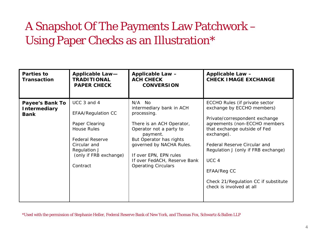# A Snapshot Of The Payments Law Patchwork – Using Paper Checks as an Illustration\*

| <b>Parties to</b><br><b>Transaction</b>                      | Applicable Law-<br><b>TRADITIONAL</b><br><b>PAPER CHECK</b>                                                                                                                      | Applicable Law -<br><b>ACH CHECK</b><br><b>CONVERSION</b>                                                                                                                                                                                                            | Applicable Law -<br><b>CHECK IMAGE EXCHANGE</b>                                                                                                                                                                                                                                                                                                             |
|--------------------------------------------------------------|----------------------------------------------------------------------------------------------------------------------------------------------------------------------------------|----------------------------------------------------------------------------------------------------------------------------------------------------------------------------------------------------------------------------------------------------------------------|-------------------------------------------------------------------------------------------------------------------------------------------------------------------------------------------------------------------------------------------------------------------------------------------------------------------------------------------------------------|
| <b>Payee's Bank To</b><br><b>Intermediary</b><br><b>Bank</b> | UCC 3 and 4<br><b>EFAA/Regulation CC</b><br>Paper Clearing<br><b>House Rules</b><br><b>Federal Reserve</b><br>Circular and<br>Regulation J<br>(only if FRB exchange)<br>Contract | N/A No<br>intermediary bank in ACH<br>processing.<br>There is an ACH Operator,<br>Operator not a party to<br>payment.<br>But Operator has rights<br>governed by NACHA Rules.<br>If over EPN, EPN rules<br>If over FedACH, Reserve Bank<br><b>Operating Circulars</b> | ECCHO Rules (if private sector<br>exchange by ECCHO members)<br>Private/correspondent exchange<br>agreements (non-ECCHO members<br>that exchange outside of Fed<br>exchange).<br>Federal Reserve Circular and<br>Regulation J (only if FRB exchange)<br>UCC <sub>4</sub><br>EFAA/Reg CC<br>Check 21/Regulation CC if substitute<br>check is involved at all |

\*Used with the permission of Stephanie Heller, Federal Reserve Bank of New York, and Thomas Fox, Schwartz & Ballen LLP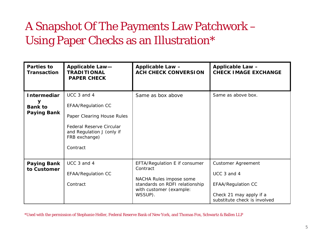# A Snapshot Of The Payments Law Patchwork – Using Paper Checks as an Illustration\*

| Parties to<br><b>Transaction</b>                                | <b>Applicable Law-</b><br><b>TRADITIONAL</b><br><b>PAPER CHECK</b>                                                                                                  | Applicable Law -<br><b>ACH CHECK CONVERSION</b>                                                                                              | Applicable Law -<br><b>CHECK IMAGE EXCHANGE</b>                                                                                  |
|-----------------------------------------------------------------|---------------------------------------------------------------------------------------------------------------------------------------------------------------------|----------------------------------------------------------------------------------------------------------------------------------------------|----------------------------------------------------------------------------------------------------------------------------------|
| <b>Intermediar</b><br>У<br><b>Bank to</b><br><b>Paying Bank</b> | UCC 3 and 4<br><b>EFAA/Regulation CC</b><br>Paper Clearing House Rules<br><b>Federal Reserve Circular</b><br>and Regulation J (only if<br>FRB exchange)<br>Contract | Same as box above                                                                                                                            | Same as above box.                                                                                                               |
| <b>Paying Bank</b><br>to Customer                               | UCC 3 and 4<br><b>EFAA/Regulation CC</b><br>Contract                                                                                                                | EFTA/Regulation E if consumer<br>Contract<br>NACHA Rules impose some<br>standards on RDFI relationship<br>with customer (example:<br>WSSUP). | <b>Customer Agreement</b><br>UCC 3 and 4<br><b>EFAA/Regulation CC</b><br>Check 21 may apply if a<br>substitute check is involved |

\*Used with the permission of Stephanie Heller, Federal Reserve Bank of New York, and Thomas Fox, Schwartz & Ballen LLP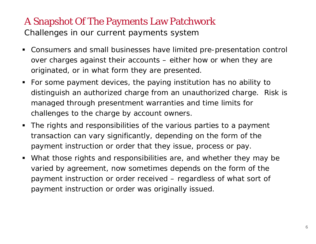### A Snapshot Of The Payments Law Patchwork

Challenges in our current payments system

- Consumers and small businesses have limited pre-presentation control over charges against their accounts – either how or when they are originated, or in what form they are presented.
- For some payment devices, the paying institution has no ability to distinguish an authorized charge from an unauthorized charge. Risk is managed through presentment warranties and time limits for challenges to the charge by account owners.
- The rights and responsibilities of the various parties to a payment transaction can vary significantly, depending on the form of the payment instruction or order that they issue, process or pay.
- What those rights and responsibilities are, and whether they may be varied by agreement, now sometimes depends on the form of the payment instruction or order *received* – regardless of what sort of payment instruction or order was originally *issued*.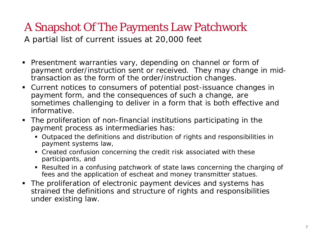# A Snapshot Of The Payments Law Patchwork

A partial list of current issues at 20,000 feet

- Presentment warranties vary, depending on channel or form of payment order/instruction sent or received. They may change in midtransaction as the form of the order/instruction changes
- Current notices to consumers of potential post-issuance changes in payment form, and the consequences of such a change, are sometimes challenging to deliver in a form that is both effective and informative.
- The proliferation of non-financial institutions participating in the payment process as intermediaries has:
	- Outpaced the definitions and distribution of rights and responsibilities in payment systems law,
	- Created confusion concerning the credit risk associated with these participants, and
	- Resulted in a confusing patchwork of state laws concerning the charging of fees and the application of escheat and money transmitter statues.
- The proliferation of electronic payment devices and systems has strained the definitions and structure of rights and responsibilities under existing law.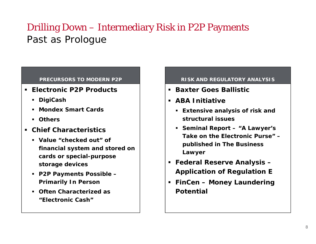### Drilling Down – Intermediary Risk in P2P Payments Past as Prologue

#### **PRECURSORS TO MODERN P2P**

- **Electronic P2P Products**
	- **DigiCash**
	- **Mondex Smart Cards**
	- **Others**
- **Chief Characteristics**
	- **Value "checked out" of financial system and stored on cards or special-purpose storage devices**
	- **P2P Payments Possible – Primarily In Person**
	- **Often Characterized as "Elect onic Cash""Electronic**

#### **RISK AND REGULATORY ANALYSIS**

- **Baxter Goes Ballistic**
- **ABA Initiative**
	- **Extensive analysis of risk and structural issues**
	- **Seminal Report – "A Lawyer's Take on the Electronic Purse" –Purse published in The Business Lawyer**
- **Federal Reserve Analysis – Application of Regulation E**
- **FinCen – Money Laundering Potential**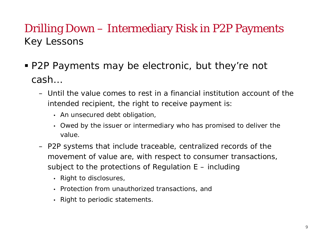## Drilling Down – Intermediary Risk in P2P Payments Ke y Lessons

- P2P Payments may be electronic, but they're not cash…
	- Until the value comes to rest in a financial institution account of the intended recipient, the right to receive payment is:
		- An unsecured debt obligation,
		- Owed by the issuer or intermediary who has promised to deliver the value.
	- P2P systems that include traceable, centralized records of the movement of value are, with respect to consumer transactions, subject to the protections of Regulation E – including
		- Right to disclosures,
		- Protection from unauthorized transactions, and
		- Right to periodic statements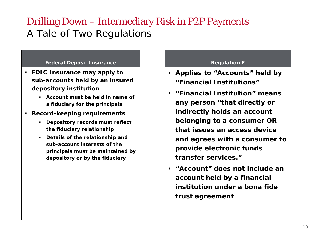### Drilling Down – Intermediary Risk in P2P Payments A Tale of Two Regulations

#### **Federal Deposit Insurance**

- **FDIC Insurance may apply to sub-accounts held by an insured depository institution**
	- **Account must be held in name of a fiduciar y for the principals**
- **Record-keeping requirements**
	- **Depository records must reflect the fiduciary relationship**
	- **Details of the relationship and sub-account interests of the principals must be maintained by depository or by the fiduciary**

#### **Regulation E**

- **Applies to "Accounts" held b y pp "Financial Institutions"**
- **"Financial Institution" means <sup>y</sup> pp any person "that directly or indirectly holds an account belonging to a consumer OR that issues an access device d ith t and agrees with a consumer o provide electronic funds transfer services."**
- **E** "Account" does not include an **account held by a financial institution under a bona fide trust a greement**